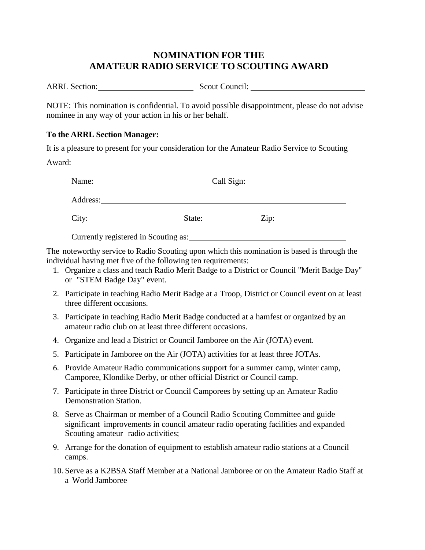## **NOMINATION FOR THE AMATEUR RADIO SERVICE TO SCOUTING AWARD**

ARRL Section: Scout Council:

NOTE: This nomination is confidential. To avoid possible disappointment, please do not advise nominee in any way of your action in his or her behalf.

## **To the ARRL Section Manager:**

It is a pleasure to present for your consideration for the Amateur Radio Service to Scouting

Award:

| Name:    |        | Call Sign: |      |
|----------|--------|------------|------|
| Address: |        |            |      |
| City:    | State: |            | Zip: |

Currently registered in Scouting as:

The noteworthy service to Radio Scouting upon which this nomination is based is through the individual having met five of the following ten requirements:

- 1. Organize a class and teach Radio Merit Badge to a District or Council "Merit Badge Day" or "STEM Badge Day" event.
- 2. Participate in teaching Radio Merit Badge at a Troop, District or Council event on at least three different occasions.
- 3. Participate in teaching Radio Merit Badge conducted at a hamfest or organized by an amateur radio club on at least three different occasions.
- 4. Organize and lead a District or Council Jamboree on the Air (JOTA) event.
- 5. Participate in Jamboree on the Air (JOTA) activities for at least three JOTAs.
- 6. Provide Amateur Radio communications support for a summer camp, winter camp, Camporee, Klondike Derby, or other official District or Council camp.
- 7. Participate in three District or Council Camporees by setting up an Amateur Radio Demonstration Station.
- 8. Serve as Chairman or member of a Council Radio Scouting Committee and guide significant improvements in council amateur radio operating facilities and expanded Scouting amateur radio activities;
- 9. Arrange for the donation of equipment to establish amateur radio stations at a Council camps.
- 10. Serve as a K2BSA Staff Member at a National Jamboree or on the Amateur Radio Staff at a World Jamboree